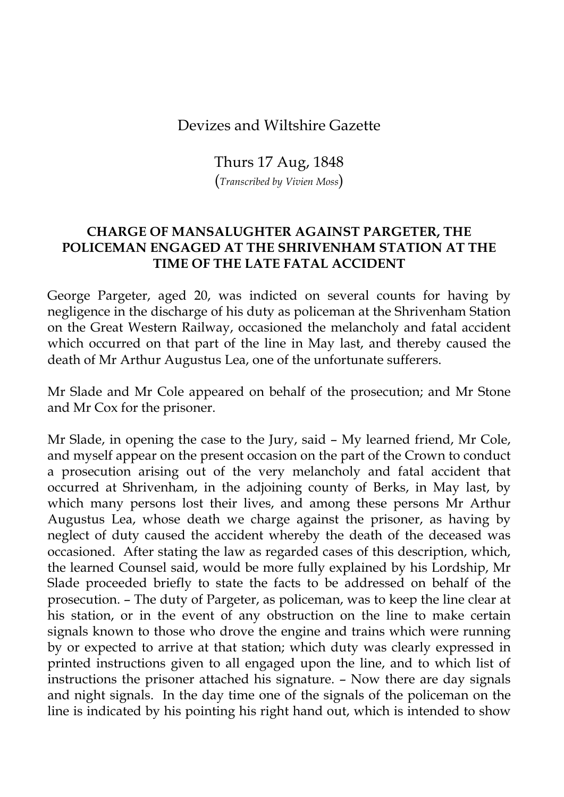## Devizes and Wiltshire Gazette

Thurs 17 Aug, 1848

(*Transcribed by Vivien Moss*)

## **CHARGE OF MANSALUGHTER AGAINST PARGETER, THE POLICEMAN ENGAGED AT THE SHRIVENHAM STATION AT THE TIME OF THE LATE FATAL ACCIDENT**

George Pargeter, aged 20, was indicted on several counts for having by negligence in the discharge of his duty as policeman at the Shrivenham Station on the Great Western Railway, occasioned the melancholy and fatal accident which occurred on that part of the line in May last, and thereby caused the death of Mr Arthur Augustus Lea, one of the unfortunate sufferers.

Mr Slade and Mr Cole appeared on behalf of the prosecution; and Mr Stone and Mr Cox for the prisoner.

Mr Slade, in opening the case to the Jury, said – My learned friend, Mr Cole, and myself appear on the present occasion on the part of the Crown to conduct a prosecution arising out of the very melancholy and fatal accident that occurred at Shrivenham, in the adjoining county of Berks, in May last, by which many persons lost their lives, and among these persons Mr Arthur Augustus Lea, whose death we charge against the prisoner, as having by neglect of duty caused the accident whereby the death of the deceased was occasioned. After stating the law as regarded cases of this description, which, the learned Counsel said, would be more fully explained by his Lordship, Mr Slade proceeded briefly to state the facts to be addressed on behalf of the prosecution. – The duty of Pargeter, as policeman, was to keep the line clear at his station, or in the event of any obstruction on the line to make certain signals known to those who drove the engine and trains which were running by or expected to arrive at that station; which duty was clearly expressed in printed instructions given to all engaged upon the line, and to which list of instructions the prisoner attached his signature. – Now there are day signals and night signals. In the day time one of the signals of the policeman on the line is indicated by his pointing his right hand out, which is intended to show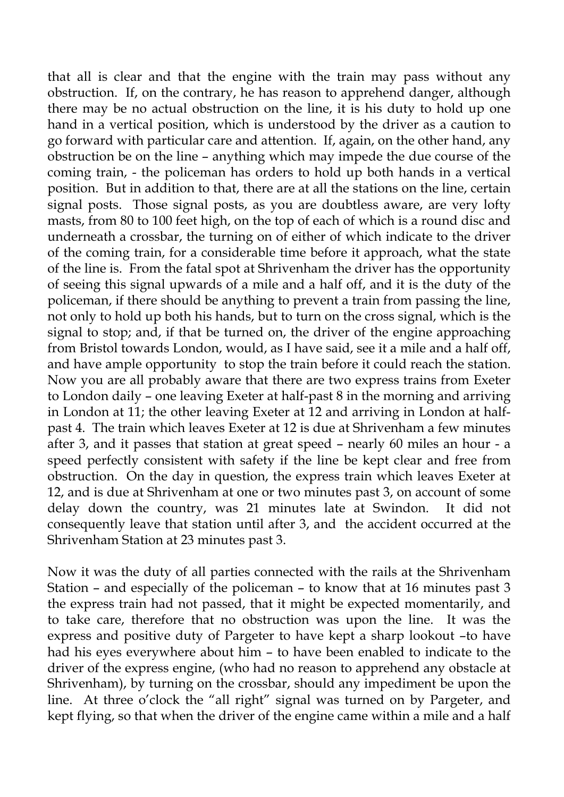that all is clear and that the engine with the train may pass without any obstruction. If, on the contrary, he has reason to apprehend danger, although there may be no actual obstruction on the line, it is his duty to hold up one hand in a vertical position, which is understood by the driver as a caution to go forward with particular care and attention. If, again, on the other hand, any obstruction be on the line – anything which may impede the due course of the coming train, - the policeman has orders to hold up both hands in a vertical position. But in addition to that, there are at all the stations on the line, certain signal posts. Those signal posts, as you are doubtless aware, are very lofty masts, from 80 to 100 feet high, on the top of each of which is a round disc and underneath a crossbar, the turning on of either of which indicate to the driver of the coming train, for a considerable time before it approach, what the state of the line is. From the fatal spot at Shrivenham the driver has the opportunity of seeing this signal upwards of a mile and a half off, and it is the duty of the policeman, if there should be anything to prevent a train from passing the line, not only to hold up both his hands, but to turn on the cross signal, which is the signal to stop; and, if that be turned on, the driver of the engine approaching from Bristol towards London, would, as I have said, see it a mile and a half off, and have ample opportunity to stop the train before it could reach the station. Now you are all probably aware that there are two express trains from Exeter to London daily – one leaving Exeter at half-past 8 in the morning and arriving in London at 11; the other leaving Exeter at 12 and arriving in London at halfpast 4. The train which leaves Exeter at 12 is due at Shrivenham a few minutes after 3, and it passes that station at great speed – nearly 60 miles an hour - a speed perfectly consistent with safety if the line be kept clear and free from obstruction. On the day in question, the express train which leaves Exeter at 12, and is due at Shrivenham at one or two minutes past 3, on account of some delay down the country, was 21 minutes late at Swindon. It did not consequently leave that station until after 3, and the accident occurred at the Shrivenham Station at 23 minutes past 3.

Now it was the duty of all parties connected with the rails at the Shrivenham Station – and especially of the policeman – to know that at 16 minutes past 3 the express train had not passed, that it might be expected momentarily, and to take care, therefore that no obstruction was upon the line. It was the express and positive duty of Pargeter to have kept a sharp lookout –to have had his eyes everywhere about him – to have been enabled to indicate to the driver of the express engine, (who had no reason to apprehend any obstacle at Shrivenham), by turning on the crossbar, should any impediment be upon the line. At three o'clock the "all right" signal was turned on by Pargeter, and kept flying, so that when the driver of the engine came within a mile and a half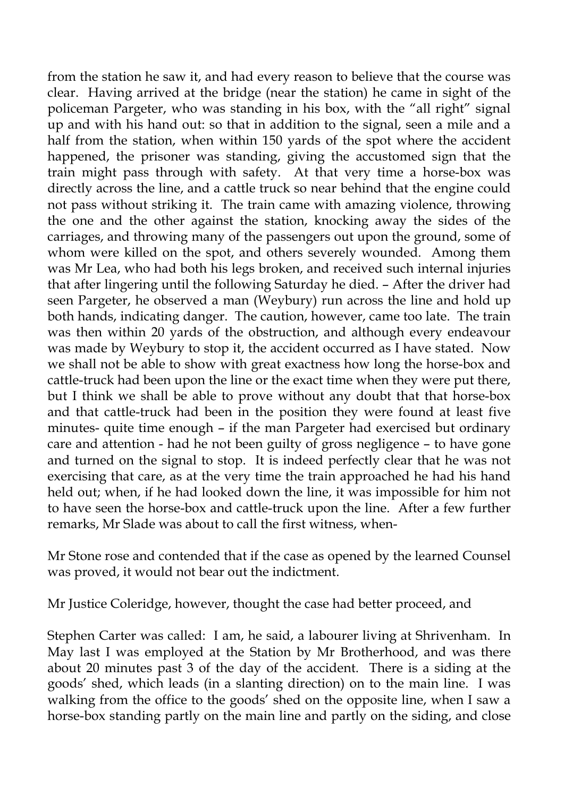from the station he saw it, and had every reason to believe that the course was clear. Having arrived at the bridge (near the station) he came in sight of the policeman Pargeter, who was standing in his box, with the "all right" signal up and with his hand out: so that in addition to the signal, seen a mile and a half from the station, when within 150 yards of the spot where the accident happened, the prisoner was standing, giving the accustomed sign that the train might pass through with safety. At that very time a horse-box was directly across the line, and a cattle truck so near behind that the engine could not pass without striking it. The train came with amazing violence, throwing the one and the other against the station, knocking away the sides of the carriages, and throwing many of the passengers out upon the ground, some of whom were killed on the spot, and others severely wounded. Among them was Mr Lea, who had both his legs broken, and received such internal injuries that after lingering until the following Saturday he died. – After the driver had seen Pargeter, he observed a man (Weybury) run across the line and hold up both hands, indicating danger. The caution, however, came too late. The train was then within 20 yards of the obstruction, and although every endeavour was made by Weybury to stop it, the accident occurred as I have stated. Now we shall not be able to show with great exactness how long the horse-box and cattle-truck had been upon the line or the exact time when they were put there, but I think we shall be able to prove without any doubt that that horse-box and that cattle-truck had been in the position they were found at least five minutes- quite time enough – if the man Pargeter had exercised but ordinary care and attention - had he not been guilty of gross negligence – to have gone and turned on the signal to stop. It is indeed perfectly clear that he was not exercising that care, as at the very time the train approached he had his hand held out; when, if he had looked down the line, it was impossible for him not to have seen the horse-box and cattle-truck upon the line. After a few further remarks, Mr Slade was about to call the first witness, when-

Mr Stone rose and contended that if the case as opened by the learned Counsel was proved, it would not bear out the indictment.

Mr Justice Coleridge, however, thought the case had better proceed, and

Stephen Carter was called: I am, he said, a labourer living at Shrivenham. In May last I was employed at the Station by Mr Brotherhood, and was there about 20 minutes past 3 of the day of the accident. There is a siding at the goods' shed, which leads (in a slanting direction) on to the main line. I was walking from the office to the goods' shed on the opposite line, when I saw a horse-box standing partly on the main line and partly on the siding, and close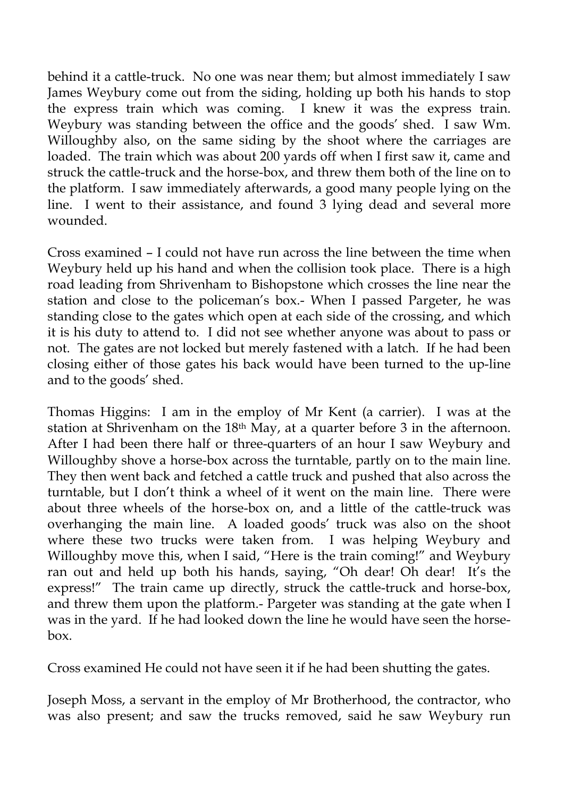behind it a cattle-truck. No one was near them; but almost immediately I saw James Weybury come out from the siding, holding up both his hands to stop the express train which was coming. I knew it was the express train. Weybury was standing between the office and the goods' shed. I saw Wm. Willoughby also, on the same siding by the shoot where the carriages are loaded. The train which was about 200 yards off when I first saw it, came and struck the cattle-truck and the horse-box, and threw them both of the line on to the platform. I saw immediately afterwards, a good many people lying on the line. I went to their assistance, and found 3 lying dead and several more wounded.

Cross examined – I could not have run across the line between the time when Weybury held up his hand and when the collision took place. There is a high road leading from Shrivenham to Bishopstone which crosses the line near the station and close to the policeman's box.- When I passed Pargeter, he was standing close to the gates which open at each side of the crossing, and which it is his duty to attend to. I did not see whether anyone was about to pass or not. The gates are not locked but merely fastened with a latch. If he had been closing either of those gates his back would have been turned to the up-line and to the goods' shed.

Thomas Higgins: I am in the employ of Mr Kent (a carrier). I was at the station at Shrivenham on the 18th May, at a quarter before 3 in the afternoon. After I had been there half or three-quarters of an hour I saw Weybury and Willoughby shove a horse-box across the turntable, partly on to the main line. They then went back and fetched a cattle truck and pushed that also across the turntable, but I don't think a wheel of it went on the main line. There were about three wheels of the horse-box on, and a little of the cattle-truck was overhanging the main line. A loaded goods' truck was also on the shoot where these two trucks were taken from. I was helping Weybury and Willoughby move this, when I said, "Here is the train coming!" and Weybury ran out and held up both his hands, saying, "Oh dear! Oh dear! It's the express!" The train came up directly, struck the cattle-truck and horse-box, and threw them upon the platform.- Pargeter was standing at the gate when I was in the yard. If he had looked down the line he would have seen the horsebox.

Cross examined He could not have seen it if he had been shutting the gates.

Joseph Moss, a servant in the employ of Mr Brotherhood, the contractor, who was also present; and saw the trucks removed, said he saw Weybury run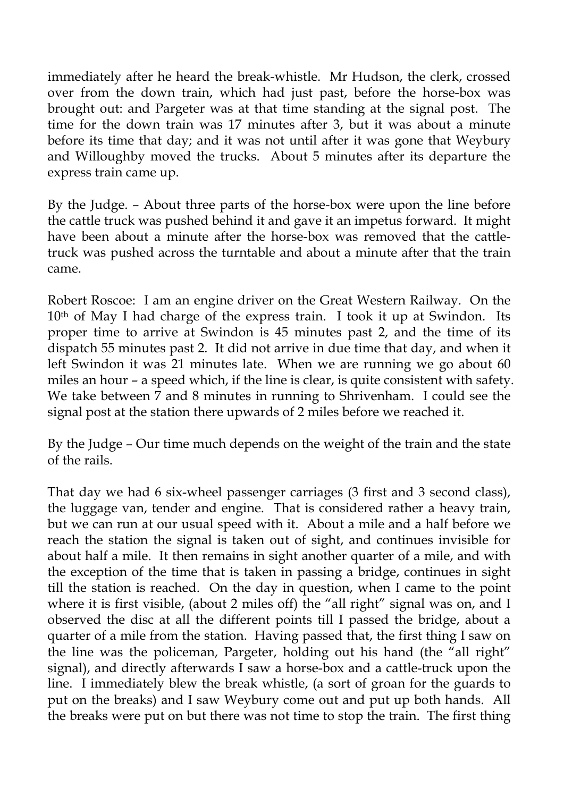immediately after he heard the break-whistle. Mr Hudson, the clerk, crossed over from the down train, which had just past, before the horse-box was brought out: and Pargeter was at that time standing at the signal post. The time for the down train was 17 minutes after 3, but it was about a minute before its time that day; and it was not until after it was gone that Weybury and Willoughby moved the trucks. About 5 minutes after its departure the express train came up.

By the Judge. – About three parts of the horse-box were upon the line before the cattle truck was pushed behind it and gave it an impetus forward. It might have been about a minute after the horse-box was removed that the cattletruck was pushed across the turntable and about a minute after that the train came.

Robert Roscoe: I am an engine driver on the Great Western Railway. On the 10<sup>th</sup> of May I had charge of the express train. I took it up at Swindon. Its proper time to arrive at Swindon is 45 minutes past 2, and the time of its dispatch 55 minutes past 2. It did not arrive in due time that day, and when it left Swindon it was 21 minutes late. When we are running we go about 60 miles an hour – a speed which, if the line is clear, is quite consistent with safety. We take between 7 and 8 minutes in running to Shrivenham. I could see the signal post at the station there upwards of 2 miles before we reached it.

By the Judge – Our time much depends on the weight of the train and the state of the rails.

That day we had 6 six-wheel passenger carriages (3 first and 3 second class), the luggage van, tender and engine. That is considered rather a heavy train, but we can run at our usual speed with it. About a mile and a half before we reach the station the signal is taken out of sight, and continues invisible for about half a mile. It then remains in sight another quarter of a mile, and with the exception of the time that is taken in passing a bridge, continues in sight till the station is reached. On the day in question, when I came to the point where it is first visible, (about 2 miles off) the "all right" signal was on, and I observed the disc at all the different points till I passed the bridge, about a quarter of a mile from the station. Having passed that, the first thing I saw on the line was the policeman, Pargeter, holding out his hand (the "all right" signal), and directly afterwards I saw a horse-box and a cattle-truck upon the line. I immediately blew the break whistle, (a sort of groan for the guards to put on the breaks) and I saw Weybury come out and put up both hands. All the breaks were put on but there was not time to stop the train. The first thing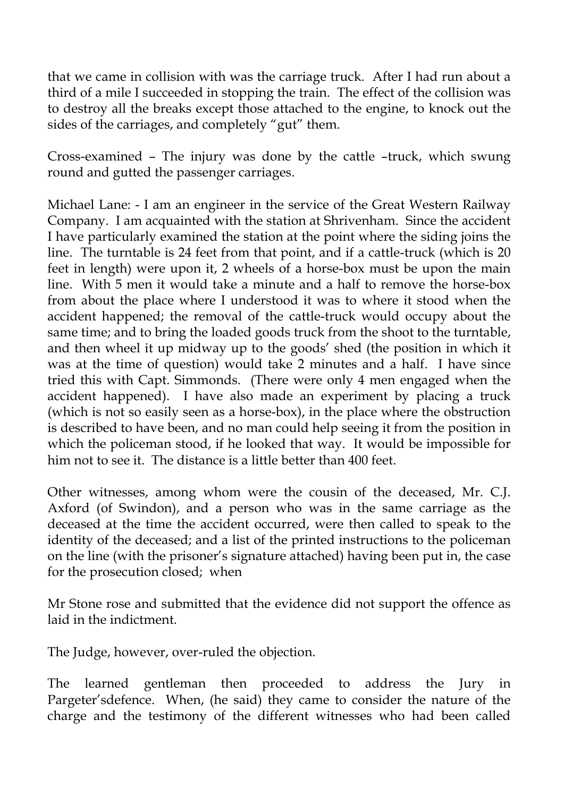that we came in collision with was the carriage truck. After I had run about a third of a mile I succeeded in stopping the train. The effect of the collision was to destroy all the breaks except those attached to the engine, to knock out the sides of the carriages, and completely "gut" them.

Cross-examined – The injury was done by the cattle –truck, which swung round and gutted the passenger carriages.

Michael Lane: - I am an engineer in the service of the Great Western Railway Company. I am acquainted with the station at Shrivenham. Since the accident I have particularly examined the station at the point where the siding joins the line. The turntable is 24 feet from that point, and if a cattle-truck (which is 20 feet in length) were upon it, 2 wheels of a horse-box must be upon the main line. With 5 men it would take a minute and a half to remove the horse-box from about the place where I understood it was to where it stood when the accident happened; the removal of the cattle-truck would occupy about the same time; and to bring the loaded goods truck from the shoot to the turntable, and then wheel it up midway up to the goods' shed (the position in which it was at the time of question) would take 2 minutes and a half. I have since tried this with Capt. Simmonds. (There were only 4 men engaged when the accident happened). I have also made an experiment by placing a truck (which is not so easily seen as a horse-box), in the place where the obstruction is described to have been, and no man could help seeing it from the position in which the policeman stood, if he looked that way. It would be impossible for him not to see it. The distance is a little better than 400 feet.

Other witnesses, among whom were the cousin of the deceased, Mr. C.J. Axford (of Swindon), and a person who was in the same carriage as the deceased at the time the accident occurred, were then called to speak to the identity of the deceased; and a list of the printed instructions to the policeman on the line (with the prisoner's signature attached) having been put in, the case for the prosecution closed; when

Mr Stone rose and submitted that the evidence did not support the offence as laid in the indictment.

The Judge, however, over-ruled the objection.

The learned gentleman then proceeded to address the Jury in Pargeter'sdefence. When, (he said) they came to consider the nature of the charge and the testimony of the different witnesses who had been called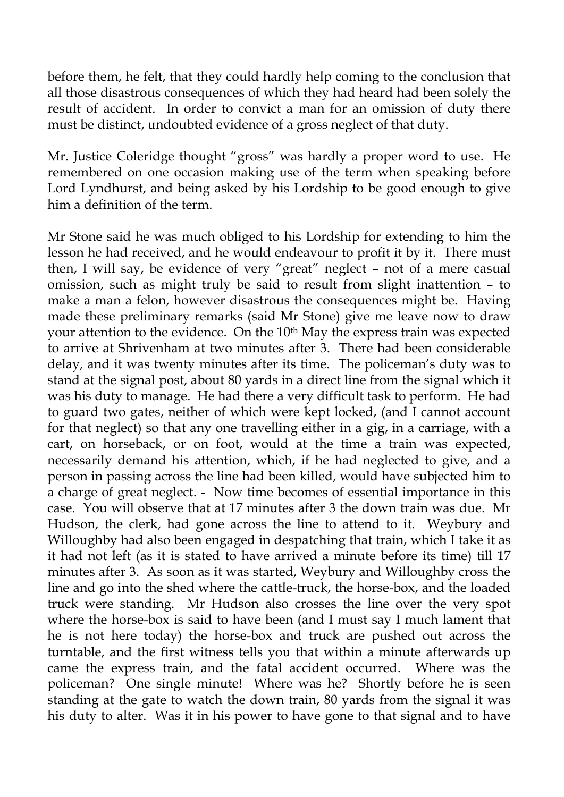before them, he felt, that they could hardly help coming to the conclusion that all those disastrous consequences of which they had heard had been solely the result of accident. In order to convict a man for an omission of duty there must be distinct, undoubted evidence of a gross neglect of that duty.

Mr. Justice Coleridge thought "gross" was hardly a proper word to use. He remembered on one occasion making use of the term when speaking before Lord Lyndhurst, and being asked by his Lordship to be good enough to give him a definition of the term.

Mr Stone said he was much obliged to his Lordship for extending to him the lesson he had received, and he would endeavour to profit it by it. There must then, I will say, be evidence of very "great" neglect – not of a mere casual omission, such as might truly be said to result from slight inattention – to make a man a felon, however disastrous the consequences might be. Having made these preliminary remarks (said Mr Stone) give me leave now to draw your attention to the evidence. On the 10<sup>th</sup> May the express train was expected to arrive at Shrivenham at two minutes after 3. There had been considerable delay, and it was twenty minutes after its time. The policeman's duty was to stand at the signal post, about 80 yards in a direct line from the signal which it was his duty to manage. He had there a very difficult task to perform. He had to guard two gates, neither of which were kept locked, (and I cannot account for that neglect) so that any one travelling either in a gig, in a carriage, with a cart, on horseback, or on foot, would at the time a train was expected, necessarily demand his attention, which, if he had neglected to give, and a person in passing across the line had been killed, would have subjected him to a charge of great neglect. - Now time becomes of essential importance in this case. You will observe that at 17 minutes after 3 the down train was due. Mr Hudson, the clerk, had gone across the line to attend to it. Weybury and Willoughby had also been engaged in despatching that train, which I take it as it had not left (as it is stated to have arrived a minute before its time) till 17 minutes after 3. As soon as it was started, Weybury and Willoughby cross the line and go into the shed where the cattle-truck, the horse-box, and the loaded truck were standing. Mr Hudson also crosses the line over the very spot where the horse-box is said to have been (and I must say I much lament that he is not here today) the horse-box and truck are pushed out across the turntable, and the first witness tells you that within a minute afterwards up came the express train, and the fatal accident occurred. Where was the policeman? One single minute! Where was he? Shortly before he is seen standing at the gate to watch the down train, 80 yards from the signal it was his duty to alter. Was it in his power to have gone to that signal and to have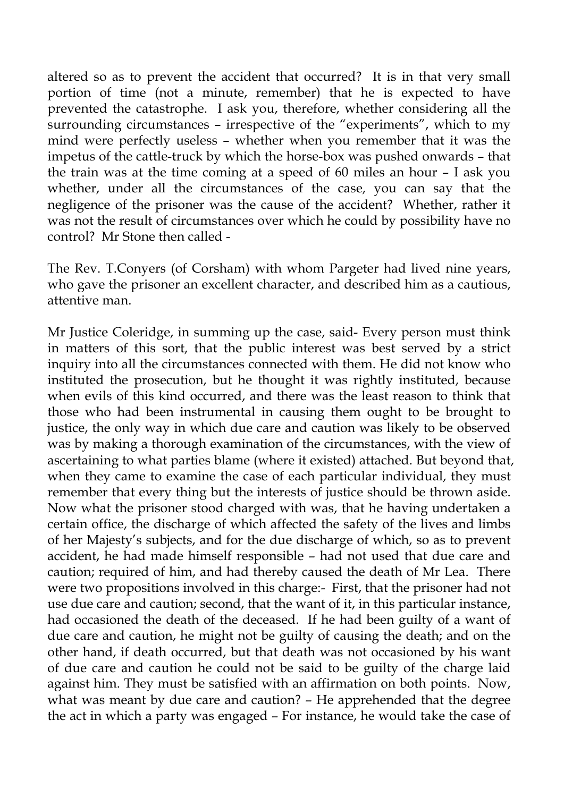altered so as to prevent the accident that occurred? It is in that very small portion of time (not a minute, remember) that he is expected to have prevented the catastrophe. I ask you, therefore, whether considering all the surrounding circumstances – irrespective of the "experiments", which to my mind were perfectly useless – whether when you remember that it was the impetus of the cattle-truck by which the horse-box was pushed onwards – that the train was at the time coming at a speed of 60 miles an hour – I ask you whether, under all the circumstances of the case, you can say that the negligence of the prisoner was the cause of the accident? Whether, rather it was not the result of circumstances over which he could by possibility have no control? Mr Stone then called -

The Rev. T.Conyers (of Corsham) with whom Pargeter had lived nine years, who gave the prisoner an excellent character, and described him as a cautious, attentive man.

Mr Justice Coleridge, in summing up the case, said- Every person must think in matters of this sort, that the public interest was best served by a strict inquiry into all the circumstances connected with them. He did not know who instituted the prosecution, but he thought it was rightly instituted, because when evils of this kind occurred, and there was the least reason to think that those who had been instrumental in causing them ought to be brought to justice, the only way in which due care and caution was likely to be observed was by making a thorough examination of the circumstances, with the view of ascertaining to what parties blame (where it existed) attached. But beyond that, when they came to examine the case of each particular individual, they must remember that every thing but the interests of justice should be thrown aside. Now what the prisoner stood charged with was, that he having undertaken a certain office, the discharge of which affected the safety of the lives and limbs of her Majesty's subjects, and for the due discharge of which, so as to prevent accident, he had made himself responsible – had not used that due care and caution; required of him, and had thereby caused the death of Mr Lea. There were two propositions involved in this charge:- First, that the prisoner had not use due care and caution; second, that the want of it, in this particular instance, had occasioned the death of the deceased. If he had been guilty of a want of due care and caution, he might not be guilty of causing the death; and on the other hand, if death occurred, but that death was not occasioned by his want of due care and caution he could not be said to be guilty of the charge laid against him. They must be satisfied with an affirmation on both points. Now, what was meant by due care and caution? – He apprehended that the degree the act in which a party was engaged – For instance, he would take the case of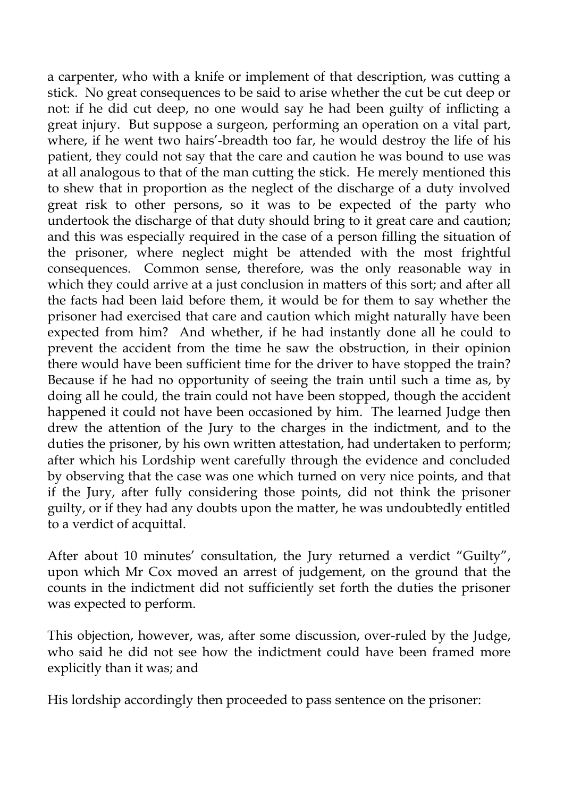a carpenter, who with a knife or implement of that description, was cutting a stick. No great consequences to be said to arise whether the cut be cut deep or not: if he did cut deep, no one would say he had been guilty of inflicting a great injury. But suppose a surgeon, performing an operation on a vital part, where, if he went two hairs'-breadth too far, he would destroy the life of his patient, they could not say that the care and caution he was bound to use was at all analogous to that of the man cutting the stick. He merely mentioned this to shew that in proportion as the neglect of the discharge of a duty involved great risk to other persons, so it was to be expected of the party who undertook the discharge of that duty should bring to it great care and caution; and this was especially required in the case of a person filling the situation of the prisoner, where neglect might be attended with the most frightful consequences. Common sense, therefore, was the only reasonable way in which they could arrive at a just conclusion in matters of this sort; and after all the facts had been laid before them, it would be for them to say whether the prisoner had exercised that care and caution which might naturally have been expected from him? And whether, if he had instantly done all he could to prevent the accident from the time he saw the obstruction, in their opinion there would have been sufficient time for the driver to have stopped the train? Because if he had no opportunity of seeing the train until such a time as, by doing all he could, the train could not have been stopped, though the accident happened it could not have been occasioned by him. The learned Judge then drew the attention of the Jury to the charges in the indictment, and to the duties the prisoner, by his own written attestation, had undertaken to perform; after which his Lordship went carefully through the evidence and concluded by observing that the case was one which turned on very nice points, and that if the Jury, after fully considering those points, did not think the prisoner guilty, or if they had any doubts upon the matter, he was undoubtedly entitled to a verdict of acquittal.

After about 10 minutes' consultation, the Jury returned a verdict "Guilty", upon which Mr Cox moved an arrest of judgement, on the ground that the counts in the indictment did not sufficiently set forth the duties the prisoner was expected to perform.

This objection, however, was, after some discussion, over-ruled by the Judge, who said he did not see how the indictment could have been framed more explicitly than it was; and

His lordship accordingly then proceeded to pass sentence on the prisoner: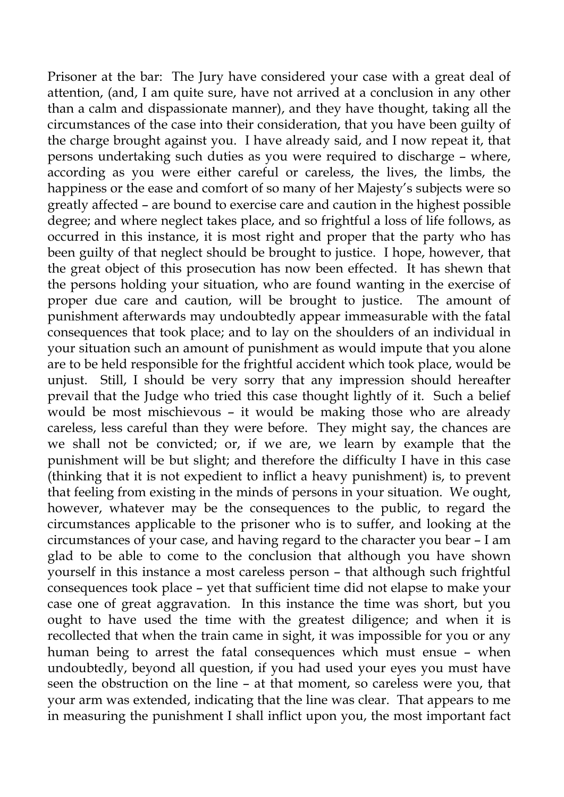Prisoner at the bar: The Jury have considered your case with a great deal of attention, (and, I am quite sure, have not arrived at a conclusion in any other than a calm and dispassionate manner), and they have thought, taking all the circumstances of the case into their consideration, that you have been guilty of the charge brought against you. I have already said, and I now repeat it, that persons undertaking such duties as you were required to discharge – where, according as you were either careful or careless, the lives, the limbs, the happiness or the ease and comfort of so many of her Majesty's subjects were so greatly affected – are bound to exercise care and caution in the highest possible degree; and where neglect takes place, and so frightful a loss of life follows, as occurred in this instance, it is most right and proper that the party who has been guilty of that neglect should be brought to justice. I hope, however, that the great object of this prosecution has now been effected. It has shewn that the persons holding your situation, who are found wanting in the exercise of proper due care and caution, will be brought to justice. The amount of punishment afterwards may undoubtedly appear immeasurable with the fatal consequences that took place; and to lay on the shoulders of an individual in your situation such an amount of punishment as would impute that you alone are to be held responsible for the frightful accident which took place, would be unjust. Still, I should be very sorry that any impression should hereafter prevail that the Judge who tried this case thought lightly of it. Such a belief would be most mischievous – it would be making those who are already careless, less careful than they were before. They might say, the chances are we shall not be convicted; or, if we are, we learn by example that the punishment will be but slight; and therefore the difficulty I have in this case (thinking that it is not expedient to inflict a heavy punishment) is, to prevent that feeling from existing in the minds of persons in your situation. We ought, however, whatever may be the consequences to the public, to regard the circumstances applicable to the prisoner who is to suffer, and looking at the circumstances of your case, and having regard to the character you bear – I am glad to be able to come to the conclusion that although you have shown yourself in this instance a most careless person – that although such frightful consequences took place – yet that sufficient time did not elapse to make your case one of great aggravation. In this instance the time was short, but you ought to have used the time with the greatest diligence; and when it is recollected that when the train came in sight, it was impossible for you or any human being to arrest the fatal consequences which must ensue – when undoubtedly, beyond all question, if you had used your eyes you must have seen the obstruction on the line – at that moment, so careless were you, that your arm was extended, indicating that the line was clear. That appears to me in measuring the punishment I shall inflict upon you, the most important fact